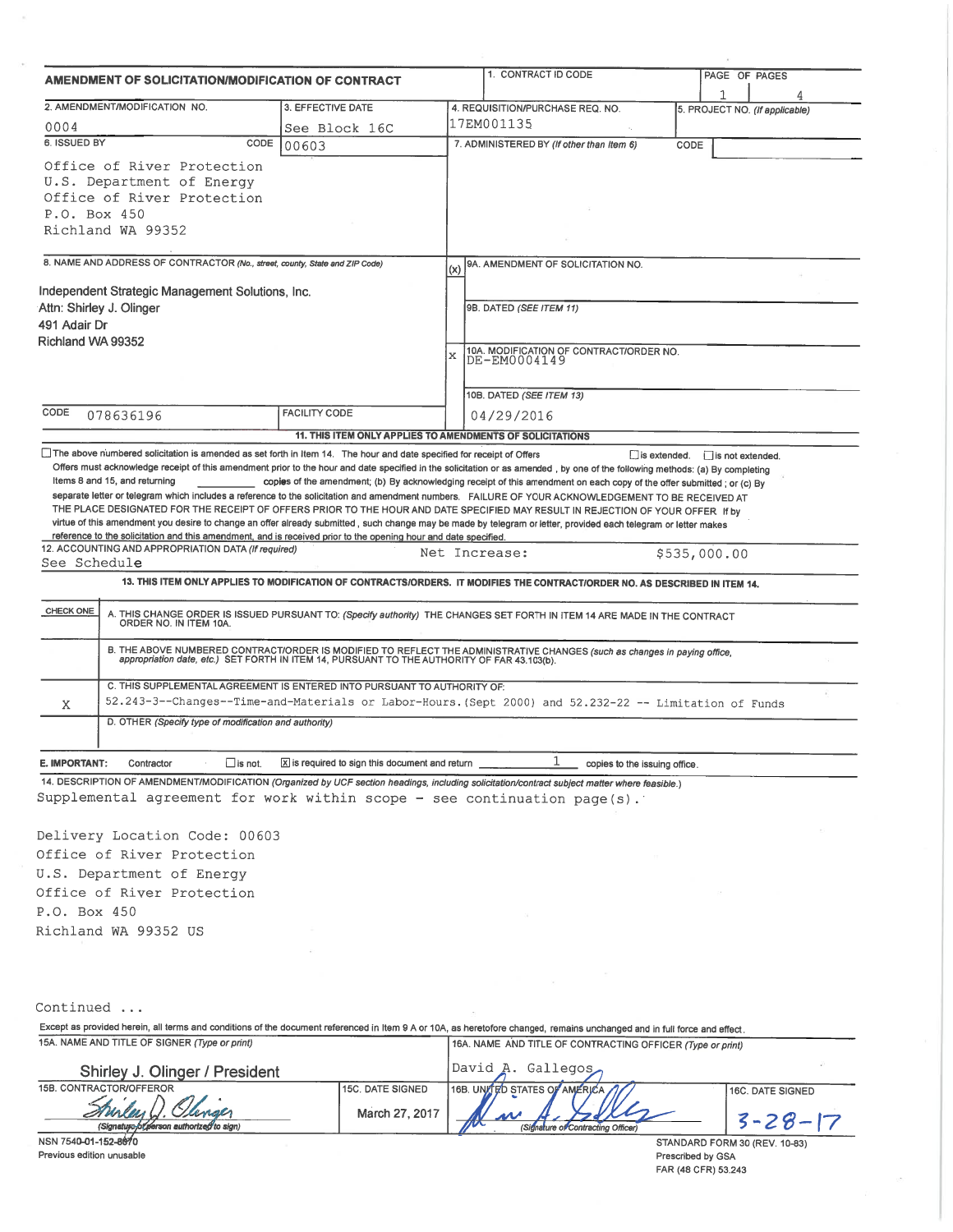| AMENDMENT OF SOLICITATION/MODIFICATION OF CONTRACT                                                                                                                                                                                                                                                                                                                                                                                    |                                                           |                                                                                  | 1. CONTRACT ID CODE                                                                                                                                                                                                   |                               | PAGE OF PAGES                 |
|---------------------------------------------------------------------------------------------------------------------------------------------------------------------------------------------------------------------------------------------------------------------------------------------------------------------------------------------------------------------------------------------------------------------------------------|-----------------------------------------------------------|----------------------------------------------------------------------------------|-----------------------------------------------------------------------------------------------------------------------------------------------------------------------------------------------------------------------|-------------------------------|-------------------------------|
|                                                                                                                                                                                                                                                                                                                                                                                                                                       |                                                           |                                                                                  |                                                                                                                                                                                                                       |                               |                               |
| 2. AMENDMENT/MODIFICATION NO.                                                                                                                                                                                                                                                                                                                                                                                                         | 3. EFFECTIVE DATE                                         | 4. REQUISITION/PURCHASE REQ. NO.<br>5. PROJECT NO. (If applicable)<br>17EM001135 |                                                                                                                                                                                                                       |                               |                               |
| 0004                                                                                                                                                                                                                                                                                                                                                                                                                                  | See Block 16C                                             |                                                                                  |                                                                                                                                                                                                                       |                               |                               |
| 6. ISSUED BY<br>CODE                                                                                                                                                                                                                                                                                                                                                                                                                  | 00603                                                     |                                                                                  | 7. ADMINISTERED BY (If other than Item 6)                                                                                                                                                                             | CODE                          |                               |
| Office of River Protection                                                                                                                                                                                                                                                                                                                                                                                                            |                                                           |                                                                                  |                                                                                                                                                                                                                       |                               |                               |
| U.S. Department of Energy                                                                                                                                                                                                                                                                                                                                                                                                             |                                                           |                                                                                  |                                                                                                                                                                                                                       |                               |                               |
| Office of River Protection                                                                                                                                                                                                                                                                                                                                                                                                            |                                                           |                                                                                  |                                                                                                                                                                                                                       |                               |                               |
| P.O. Box 450                                                                                                                                                                                                                                                                                                                                                                                                                          |                                                           |                                                                                  |                                                                                                                                                                                                                       |                               |                               |
| Richland WA 99352                                                                                                                                                                                                                                                                                                                                                                                                                     |                                                           |                                                                                  |                                                                                                                                                                                                                       |                               |                               |
| 8. NAME AND ADDRESS OF CONTRACTOR (No., street, county, State and ZIP Code)                                                                                                                                                                                                                                                                                                                                                           |                                                           | (x)                                                                              | 9A. AMENDMENT OF SOLICITATION NO.                                                                                                                                                                                     |                               |                               |
| Independent Strategic Management Solutions, Inc.                                                                                                                                                                                                                                                                                                                                                                                      |                                                           |                                                                                  |                                                                                                                                                                                                                       |                               |                               |
| Attn: Shirley J. Olinger                                                                                                                                                                                                                                                                                                                                                                                                              |                                                           |                                                                                  | 9B. DATED (SEE ITEM 11)                                                                                                                                                                                               |                               |                               |
| 491 Adair Dr                                                                                                                                                                                                                                                                                                                                                                                                                          |                                                           |                                                                                  |                                                                                                                                                                                                                       |                               |                               |
| Richland WA 99352                                                                                                                                                                                                                                                                                                                                                                                                                     |                                                           |                                                                                  |                                                                                                                                                                                                                       |                               |                               |
|                                                                                                                                                                                                                                                                                                                                                                                                                                       |                                                           | X                                                                                | 10A. MODIFICATION OF CONTRACT/ORDER NO.<br>DE-EM0004149                                                                                                                                                               |                               |                               |
|                                                                                                                                                                                                                                                                                                                                                                                                                                       |                                                           |                                                                                  |                                                                                                                                                                                                                       |                               |                               |
|                                                                                                                                                                                                                                                                                                                                                                                                                                       |                                                           |                                                                                  | 10B. DATED (SEE ITEM 13)                                                                                                                                                                                              |                               |                               |
| CODE<br>078636196                                                                                                                                                                                                                                                                                                                                                                                                                     | FACILITY CODE                                             |                                                                                  | 04/29/2016                                                                                                                                                                                                            |                               |                               |
|                                                                                                                                                                                                                                                                                                                                                                                                                                       | 11. THIS ITEM ONLY APPLIES TO AMENDMENTS OF SOLICITATIONS |                                                                                  |                                                                                                                                                                                                                       |                               |                               |
| The above numbered solicitation is amended as set forth in Item 14. The hour and date specified for receipt of Offers                                                                                                                                                                                                                                                                                                                 |                                                           |                                                                                  |                                                                                                                                                                                                                       | is extended. is not extended. |                               |
| Offers must acknowledge receipt of this amendment prior to the hour and date specified in the solicitation or as amended, by one of the following methods: (a) By completing                                                                                                                                                                                                                                                          |                                                           |                                                                                  |                                                                                                                                                                                                                       |                               |                               |
| Items 8 and 15, and returning                                                                                                                                                                                                                                                                                                                                                                                                         |                                                           |                                                                                  | copies of the amendment; (b) By acknowledging receipt of this amendment on each copy of the offer submitted; or (c) By                                                                                                |                               |                               |
| separate letter or telegram which includes a reference to the solicitation and amendment numbers. FAILURE OF YOUR ACKNOWLEDGEMENT TO BE RECEIVED AT<br>THE PLACE DESIGNATED FOR THE RECEIPT OF OFFERS PRIOR TO THE HOUR AND DATE SPECIFIED MAY RESULT IN REJECTION OF YOUR OFFER If by                                                                                                                                                |                                                           |                                                                                  |                                                                                                                                                                                                                       |                               |                               |
| virtue of this amendment you desire to change an offer already submitted, such change may be made by telegram or letter, provided each telegram or letter makes                                                                                                                                                                                                                                                                       |                                                           |                                                                                  |                                                                                                                                                                                                                       |                               |                               |
| reference to the solicitation and this amendment, and is received prior to the opening hour and date specified.                                                                                                                                                                                                                                                                                                                       |                                                           |                                                                                  |                                                                                                                                                                                                                       |                               |                               |
| 12. ACCOUNTING AND APPROPRIATION DATA (If required)                                                                                                                                                                                                                                                                                                                                                                                   |                                                           | Net Increase:                                                                    |                                                                                                                                                                                                                       | \$535,000.00                  |                               |
| See Schedule                                                                                                                                                                                                                                                                                                                                                                                                                          |                                                           |                                                                                  |                                                                                                                                                                                                                       |                               |                               |
|                                                                                                                                                                                                                                                                                                                                                                                                                                       |                                                           |                                                                                  | 13. THIS ITEM ONLY APPLIES TO MODIFICATION OF CONTRACTS/ORDERS. IT MODIFIES THE CONTRACT/ORDER NO. AS DESCRIBED IN ITEM 14.                                                                                           |                               |                               |
| <b>CHECK ONE</b>                                                                                                                                                                                                                                                                                                                                                                                                                      |                                                           |                                                                                  | A. THIS CHANGE ORDER IS ISSUED PURSUANT TO: (Specify authority) THE CHANGES SET FORTH IN ITEM 14 ARE MADE IN THE CONTRACT ORDER NO. IN ITEM 10A.                                                                      |                               |                               |
|                                                                                                                                                                                                                                                                                                                                                                                                                                       |                                                           |                                                                                  | B. THE ABOVE NUMBERED CONTRACT/ORDER IS MODIFIED TO REFLECT THE ADMINISTRATIVE CHANGES (such as changes in paying office, appropriation date, etc.) SET FORTH IN ITEM 14, PURSUANT TO THE AUTHORITY OF FAR 43.103(b). |                               |                               |
|                                                                                                                                                                                                                                                                                                                                                                                                                                       |                                                           |                                                                                  |                                                                                                                                                                                                                       |                               |                               |
| C. THIS SUPPLEMENTAL AGREEMENT IS ENTERED INTO PURSUANT TO AUTHORITY OF:                                                                                                                                                                                                                                                                                                                                                              |                                                           |                                                                                  |                                                                                                                                                                                                                       |                               |                               |
| Χ                                                                                                                                                                                                                                                                                                                                                                                                                                     |                                                           |                                                                                  | 52.243-3--Changes--Time-and-Materials or Labor-Hours. (Sept 2000) and 52.232-22 -- Limitation of Funds                                                                                                                |                               |                               |
| D. OTHER (Specify type of modification and authority)                                                                                                                                                                                                                                                                                                                                                                                 |                                                           |                                                                                  |                                                                                                                                                                                                                       |                               |                               |
|                                                                                                                                                                                                                                                                                                                                                                                                                                       |                                                           |                                                                                  |                                                                                                                                                                                                                       |                               |                               |
| E. IMPORTANT:<br>Contractor<br>∐is not.                                                                                                                                                                                                                                                                                                                                                                                               | X is required to sign this document and return            |                                                                                  | copies to the issuing office.                                                                                                                                                                                         |                               |                               |
| 14. DESCRIPTION OF AMENDMENT/MODIFICATION (Organized by UCF section headings, including solicitation/contract subject matter where feasible.)                                                                                                                                                                                                                                                                                         |                                                           |                                                                                  |                                                                                                                                                                                                                       |                               |                               |
| Supplemental agreement for work within scope - see continuation page(s).                                                                                                                                                                                                                                                                                                                                                              |                                                           |                                                                                  |                                                                                                                                                                                                                       |                               |                               |
|                                                                                                                                                                                                                                                                                                                                                                                                                                       |                                                           |                                                                                  |                                                                                                                                                                                                                       |                               |                               |
| Delivery Location Code: 00603                                                                                                                                                                                                                                                                                                                                                                                                         |                                                           |                                                                                  |                                                                                                                                                                                                                       |                               |                               |
|                                                                                                                                                                                                                                                                                                                                                                                                                                       |                                                           |                                                                                  |                                                                                                                                                                                                                       |                               |                               |
|                                                                                                                                                                                                                                                                                                                                                                                                                                       |                                                           |                                                                                  |                                                                                                                                                                                                                       |                               |                               |
|                                                                                                                                                                                                                                                                                                                                                                                                                                       |                                                           |                                                                                  |                                                                                                                                                                                                                       |                               |                               |
|                                                                                                                                                                                                                                                                                                                                                                                                                                       |                                                           |                                                                                  |                                                                                                                                                                                                                       |                               |                               |
|                                                                                                                                                                                                                                                                                                                                                                                                                                       |                                                           |                                                                                  |                                                                                                                                                                                                                       |                               |                               |
|                                                                                                                                                                                                                                                                                                                                                                                                                                       |                                                           |                                                                                  |                                                                                                                                                                                                                       |                               |                               |
|                                                                                                                                                                                                                                                                                                                                                                                                                                       |                                                           |                                                                                  |                                                                                                                                                                                                                       |                               |                               |
|                                                                                                                                                                                                                                                                                                                                                                                                                                       |                                                           |                                                                                  |                                                                                                                                                                                                                       |                               |                               |
|                                                                                                                                                                                                                                                                                                                                                                                                                                       |                                                           |                                                                                  |                                                                                                                                                                                                                       |                               |                               |
|                                                                                                                                                                                                                                                                                                                                                                                                                                       |                                                           |                                                                                  |                                                                                                                                                                                                                       |                               |                               |
|                                                                                                                                                                                                                                                                                                                                                                                                                                       |                                                           |                                                                                  |                                                                                                                                                                                                                       |                               |                               |
|                                                                                                                                                                                                                                                                                                                                                                                                                                       |                                                           |                                                                                  | 16A. NAME AND TITLE OF CONTRACTING OFFICER (Type or print)                                                                                                                                                            |                               |                               |
|                                                                                                                                                                                                                                                                                                                                                                                                                                       |                                                           |                                                                                  |                                                                                                                                                                                                                       |                               |                               |
| Office of River Protection<br>U.S. Department of Energy<br>Office of River Protection<br>P.O. Box 450<br>Richland WA 99352 US<br>Continued<br>Except as provided herein, all terms and conditions of the document referenced in Item 9 A or 10A, as heretofore changed, remains unchanged and in full force and effect.<br>15A. NAME AND TITLE OF SIGNER (Type or print)<br>Shirley J. Olinger / President<br>15B. CONTRACTOR/OFFEROR |                                                           |                                                                                  | David A. Gallegos                                                                                                                                                                                                     |                               |                               |
|                                                                                                                                                                                                                                                                                                                                                                                                                                       | <b>15C. DATE SIGNED</b>                                   |                                                                                  | 16B. UNITED STATES OF AMERICA                                                                                                                                                                                         |                               | 16C. DATE SIGNED              |
|                                                                                                                                                                                                                                                                                                                                                                                                                                       | March 27, 2017                                            |                                                                                  |                                                                                                                                                                                                                       |                               |                               |
| (Signatura b/ person authorized to sign)                                                                                                                                                                                                                                                                                                                                                                                              |                                                           |                                                                                  | (Signature of Contracting Officer)                                                                                                                                                                                    |                               | $3 - 28 - 17$                 |
| NSN 7540-01-152-8070<br>Previous edition unusable                                                                                                                                                                                                                                                                                                                                                                                     |                                                           |                                                                                  |                                                                                                                                                                                                                       | Prescribed by GSA             | STANDARD FORM 30 (REV. 10-83) |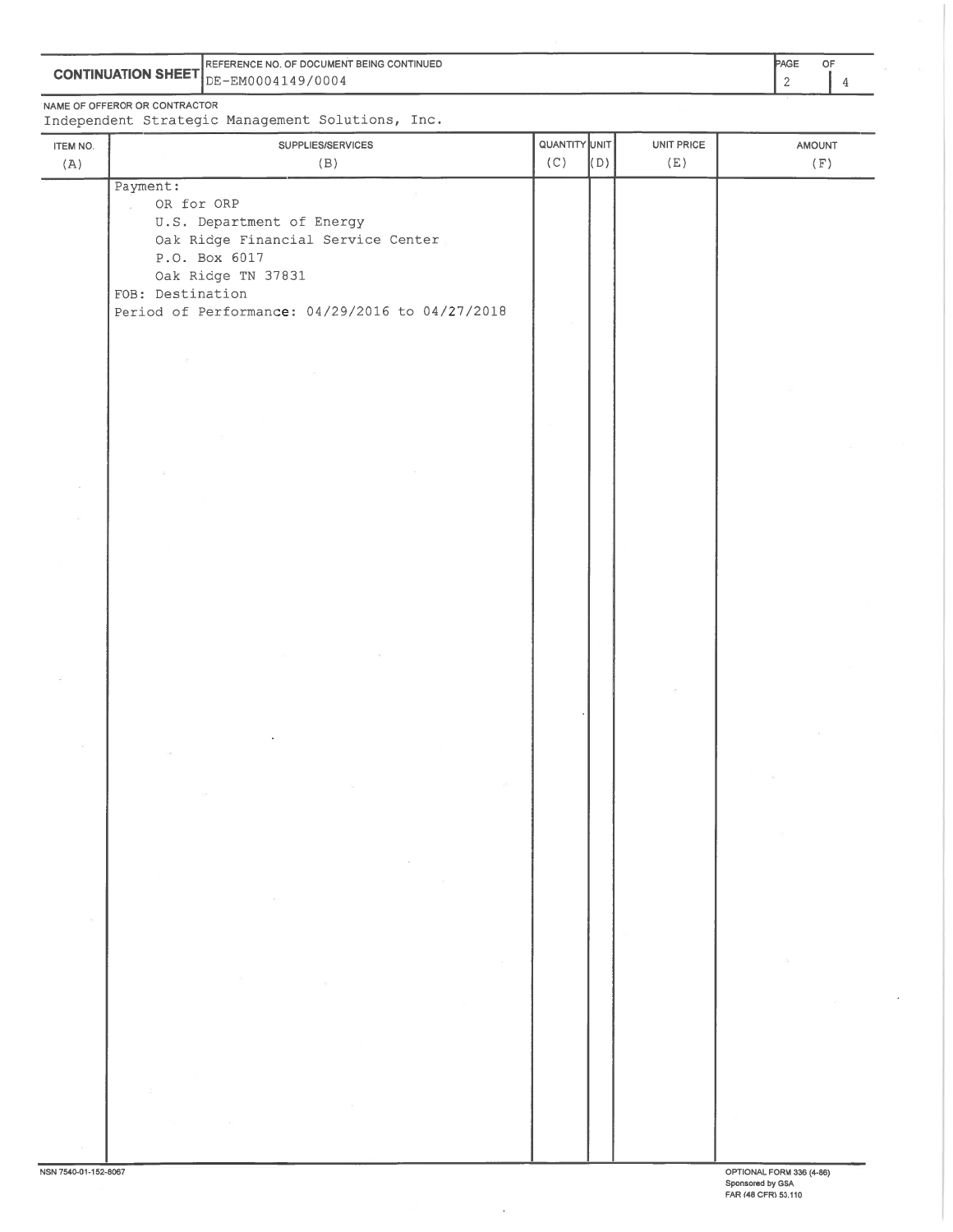|                                                                                                                 | PAGE<br><b>IREFERENCE NO. OF DOCUMENT BEING CONTINUED</b> |  |  |
|-----------------------------------------------------------------------------------------------------------------|-----------------------------------------------------------|--|--|
| <b>CONTINUATION SHEET</b>                                                                                       | E-EM0004149/0004≞                                         |  |  |
| the contract of the contract of the contract of the contract of the contract of the contract of the contract of |                                                           |  |  |

NAME OF OFFEROR OR CONTRACTOR<br>Independent Strategic Management Solutions, Inc.

J,

| ITEM NO.             | SUPPLIES/SERVICES                                                                                                                                                                                       | QUANTITY UNIT |     | UNIT PRICE | AMOUNT                   |
|----------------------|---------------------------------------------------------------------------------------------------------------------------------------------------------------------------------------------------------|---------------|-----|------------|--------------------------|
| (A)                  | (B)                                                                                                                                                                                                     | (C)           | (D) | (E)        | (F)                      |
|                      | Payment:<br>OR for ORP<br>U.S. Department of Energy<br>Oak Ridge Financial Service Center<br>P.O. Box 6017<br>Oak Ridge TN 37831<br>FOB: Destination<br>Period of Performance: 04/29/2016 to 04/27/2018 |               |     |            |                          |
|                      |                                                                                                                                                                                                         |               |     |            |                          |
|                      |                                                                                                                                                                                                         |               |     |            |                          |
|                      |                                                                                                                                                                                                         |               |     |            |                          |
|                      |                                                                                                                                                                                                         |               |     |            |                          |
|                      |                                                                                                                                                                                                         |               |     |            |                          |
|                      | $\sim$                                                                                                                                                                                                  |               |     |            |                          |
|                      |                                                                                                                                                                                                         |               |     |            |                          |
| NSN 7540-01-152-8067 | - 25                                                                                                                                                                                                    |               |     |            | OPTIONAL FORM 336 (4-86) |

 $\bar{\mathcal{A}}$ 

OPTIONAL FORM 336 (4-86)<br>Sponsored by GSA<br>FAR (48 CFR) 53.110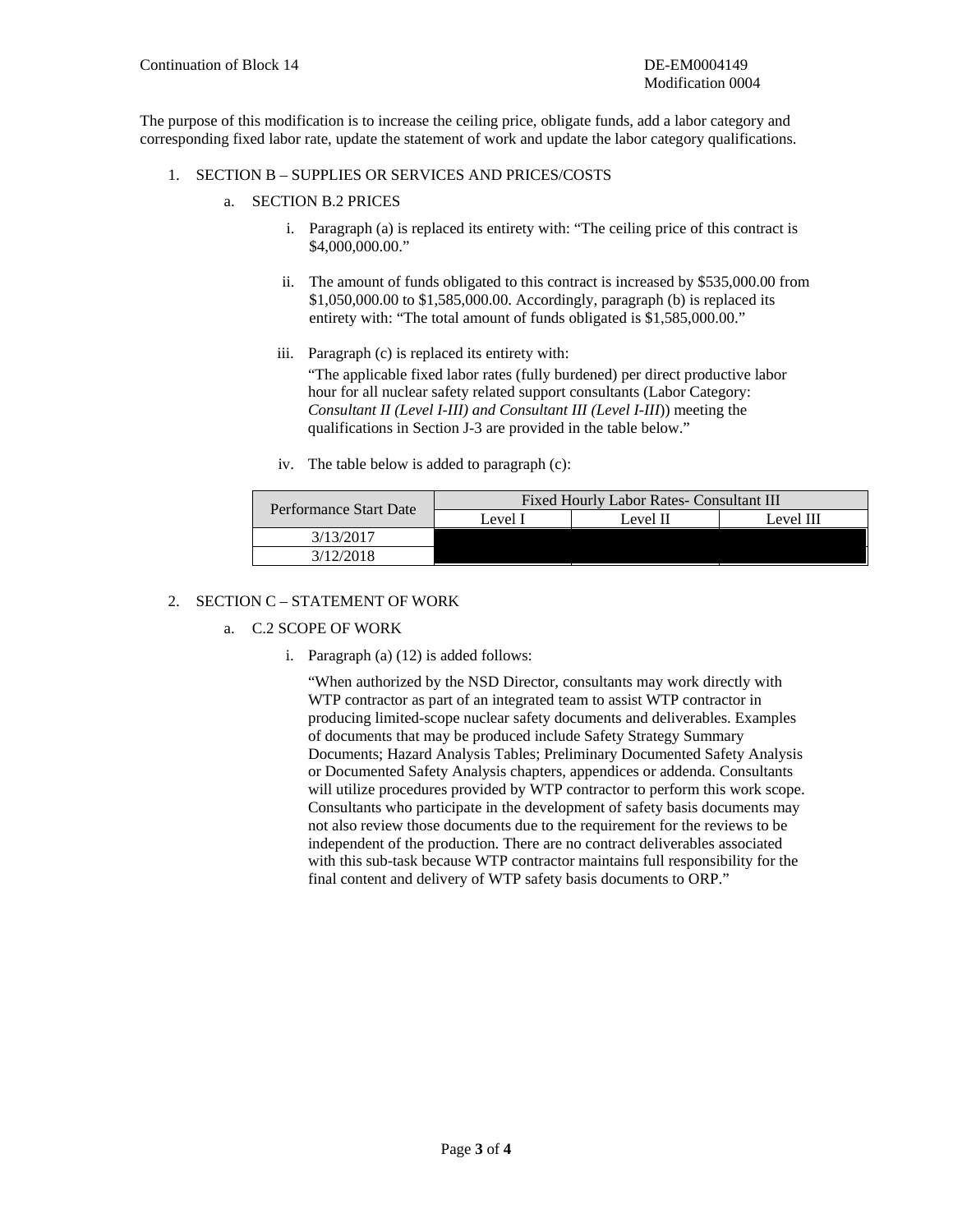The purpose of this modification is to increase the ceiling price, obligate funds, add a labor category and corresponding fixed labor rate, update the statement of work and update the labor category qualifications.

- 1. SECTION B SUPPLIES OR SERVICES AND PRICES/COSTS
	- a. SECTION B.2 PRICES
		- i. Paragraph (a) is replaced its entirety with: "The ceiling price of this contract is \$4,000,000.00."
		- ii. The amount of funds obligated to this contract is increased by \$535,000.00 from \$1,050,000.00 to \$1,585,000.00. Accordingly, paragraph (b) is replaced its entirety with: "The total amount of funds obligated is \$1,585,000.00."
		- iii. Paragraph (c) is replaced its entirety with: "The applicable fixed labor rates (fully burdened) per direct productive labor hour for all nuclear safety related support consultants (Labor Category:
			- *Consultant II (Level I-III) and Consultant III (Level I-III*)) meeting the qualifications in Section J-3 are provided in the table below."
		- iv. The table below is added to paragraph (c):

| Performance Start Date | Fixed Hourly Labor Rates- Consultant III |          |  |  |  |
|------------------------|------------------------------------------|----------|--|--|--|
|                        | Level I                                  | Level II |  |  |  |
| 3/13/2017              |                                          |          |  |  |  |
| 3/12/2018              |                                          |          |  |  |  |

## 2. SECTION C – STATEMENT OF WORK

- a. C.2 SCOPE OF WORK
	- i. Paragraph (a) (12) is added follows:

"When authorized by the NSD Director, consultants may work directly with WTP contractor as part of an integrated team to assist WTP contractor in producing limited-scope nuclear safety documents and deliverables. Examples of documents that may be produced include Safety Strategy Summary Documents; Hazard Analysis Tables; Preliminary Documented Safety Analysis or Documented Safety Analysis chapters, appendices or addenda. Consultants will utilize procedures provided by WTP contractor to perform this work scope. Consultants who participate in the development of safety basis documents may not also review those documents due to the requirement for the reviews to be independent of the production. There are no contract deliverables associated with this sub-task because WTP contractor maintains full responsibility for the final content and delivery of WTP safety basis documents to ORP."